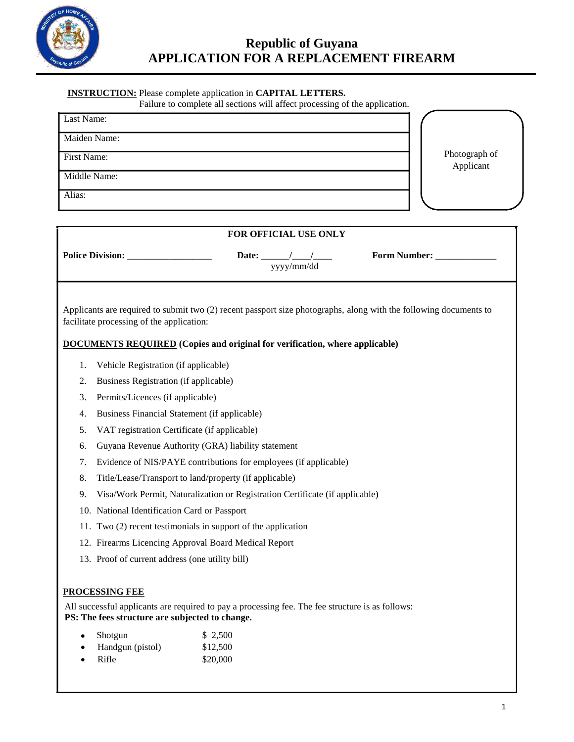

## **INSTRUCTION:** Please complete application in **CAPITAL LETTERS.**

Failure to complete all sections will affect processing of the application.

| Last Name:   |                            |
|--------------|----------------------------|
| Maiden Name: |                            |
| First Name:  | Photograph of<br>Applicant |
| Middle Name: |                            |
| Alias:       |                            |

| FOR OFFICIAL USE ONLY                                                                                                                                                                                                                                |                                                                              |                                 |                                                       |                        |  |
|------------------------------------------------------------------------------------------------------------------------------------------------------------------------------------------------------------------------------------------------------|------------------------------------------------------------------------------|---------------------------------|-------------------------------------------------------|------------------------|--|
|                                                                                                                                                                                                                                                      | <b>Police Division:</b>                                                      |                                 | Date: $\frac{\frac{1}{2}}{\frac{1}{2}}$<br>yyyy/mm/dd | Form Number: _________ |  |
| Applicants are required to submit two (2) recent passport size photographs, along with the following documents to<br>facilitate processing of the application:<br><b>DOCUMENTS REQUIRED</b> (Copies and original for verification, where applicable) |                                                                              |                                 |                                                       |                        |  |
| 1.                                                                                                                                                                                                                                                   | Vehicle Registration (if applicable)                                         |                                 |                                                       |                        |  |
| 2.                                                                                                                                                                                                                                                   | Business Registration (if applicable)                                        |                                 |                                                       |                        |  |
| 3.                                                                                                                                                                                                                                                   | Permits/Licences (if applicable)                                             |                                 |                                                       |                        |  |
| 4.                                                                                                                                                                                                                                                   | Business Financial Statement (if applicable)                                 |                                 |                                                       |                        |  |
| 5.                                                                                                                                                                                                                                                   | VAT registration Certificate (if applicable)                                 |                                 |                                                       |                        |  |
| 6.                                                                                                                                                                                                                                                   | Guyana Revenue Authority (GRA) liability statement                           |                                 |                                                       |                        |  |
| 7.                                                                                                                                                                                                                                                   | Evidence of NIS/PAYE contributions for employees (if applicable)             |                                 |                                                       |                        |  |
| 8.                                                                                                                                                                                                                                                   | Title/Lease/Transport to land/property (if applicable)                       |                                 |                                                       |                        |  |
| 9.                                                                                                                                                                                                                                                   | Visa/Work Permit, Naturalization or Registration Certificate (if applicable) |                                 |                                                       |                        |  |
|                                                                                                                                                                                                                                                      | 10. National Identification Card or Passport                                 |                                 |                                                       |                        |  |
|                                                                                                                                                                                                                                                      | 11. Two (2) recent testimonials in support of the application                |                                 |                                                       |                        |  |
|                                                                                                                                                                                                                                                      | 12. Firearms Licencing Approval Board Medical Report                         |                                 |                                                       |                        |  |
|                                                                                                                                                                                                                                                      | 13. Proof of current address (one utility bill)                              |                                 |                                                       |                        |  |
| PROCESSING FEE<br>All successful applicants are required to pay a processing fee. The fee structure is as follows:<br>PS: The fees structure are subjected to change.                                                                                |                                                                              |                                 |                                                       |                        |  |
|                                                                                                                                                                                                                                                      | Shotgun<br>Handgun (pistol)<br>Rifle                                         | \$2,500<br>\$12,500<br>\$20,000 |                                                       |                        |  |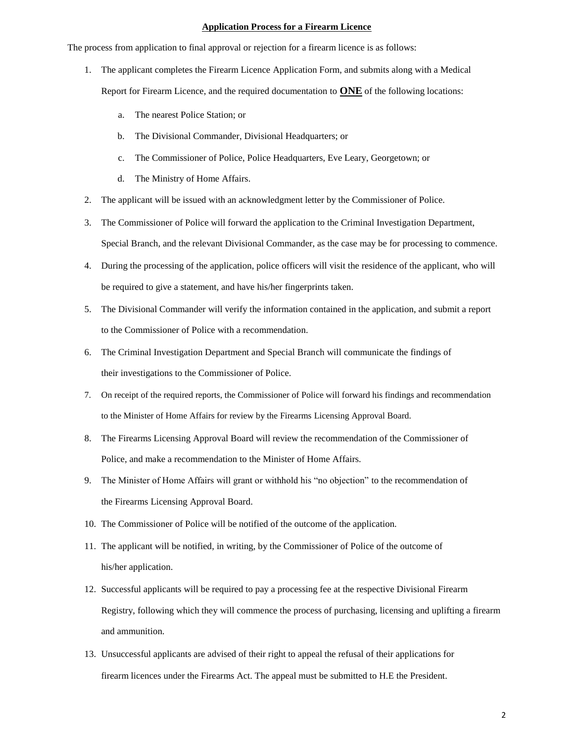### **Application Process for a Firearm Licence**

The process from application to final approval or rejection for a firearm licence is as follows:

- 1. The applicant completes the Firearm Licence Application Form, and submits along with a Medical Report for Firearm Licence, and the required documentation to **ONE** of the following locations:
	- a. The nearest Police Station; or
	- b. The Divisional Commander, Divisional Headquarters; or
	- c. The Commissioner of Police, Police Headquarters, Eve Leary, Georgetown; or
	- d. The Ministry of Home Affairs.
- 2. The applicant will be issued with an acknowledgment letter by the Commissioner of Police.
- 3. The Commissioner of Police will forward the application to the Criminal Investigation Department, Special Branch, and the relevant Divisional Commander, as the case may be for processing to commence.
- 4. During the processing of the application, police officers will visit the residence of the applicant, who will be required to give a statement, and have his/her fingerprints taken.
- 5. The Divisional Commander will verify the information contained in the application, and submit a report to the Commissioner of Police with a recommendation.
- 6. The Criminal Investigation Department and Special Branch will communicate the findings of their investigations to the Commissioner of Police.
- 7. On receipt of the required reports, the Commissioner of Police will forward his findings and recommendation to the Minister of Home Affairs for review by the Firearms Licensing Approval Board.
- 8. The Firearms Licensing Approval Board will review the recommendation of the Commissioner of Police, and make a recommendation to the Minister of Home Affairs.
- 9. The Minister of Home Affairs will grant or withhold his "no objection" to the recommendation of the Firearms Licensing Approval Board.
- 10. The Commissioner of Police will be notified of the outcome of the application.
- 11. The applicant will be notified, in writing, by the Commissioner of Police of the outcome of his/her application.
- 12. Successful applicants will be required to pay a processing fee at the respective Divisional Firearm Registry, following which they will commence the process of purchasing, licensing and uplifting a firearm and ammunition.
- 13. Unsuccessful applicants are advised of their right to appeal the refusal of their applications for firearm licences under the Firearms Act. The appeal must be submitted to H.E the President.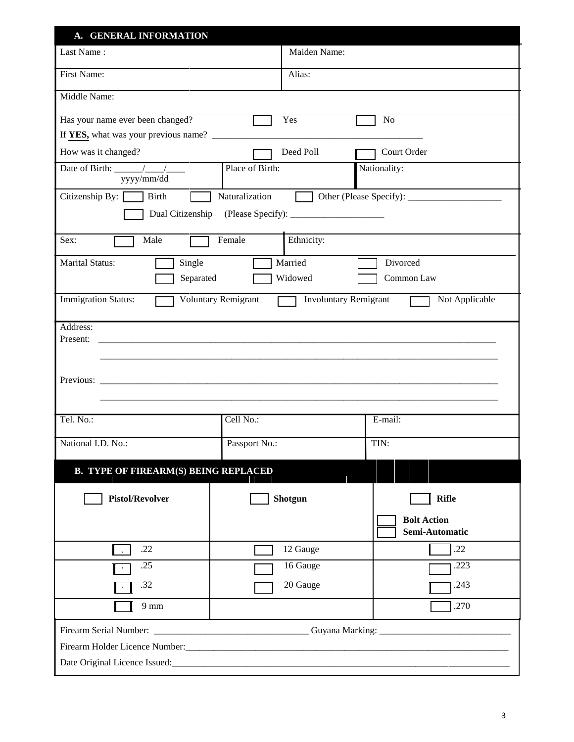| A. GENERAL INFORMATION                                         |                            |                              |                                      |  |  |
|----------------------------------------------------------------|----------------------------|------------------------------|--------------------------------------|--|--|
| Last Name:                                                     |                            | Maiden Name:                 |                                      |  |  |
| <b>First Name:</b>                                             |                            | Alias:                       |                                      |  |  |
| Middle Name:                                                   |                            |                              |                                      |  |  |
| Has your name ever been changed?                               |                            | Yes                          | No                                   |  |  |
| How was it changed?                                            |                            | Deed Poll                    | Court Order                          |  |  |
| Date of Birth: $\frac{1}{\sqrt{1-\frac{1}{2}}}$<br>yyyy/mm/dd  | Place of Birth:            |                              | Nationality:                         |  |  |
| Citizenship By:<br>Birth<br>Naturalization<br>Dual Citizenship |                            |                              |                                      |  |  |
| Sex:<br>Male                                                   | Female                     | Ethnicity:                   |                                      |  |  |
| <b>Marital Status:</b><br>Single<br>Separated                  |                            | Married<br>Widowed           | Divorced<br>Common Law               |  |  |
| <b>Immigration Status:</b>                                     | <b>Voluntary Remigrant</b> | <b>Involuntary Remigrant</b> | Not Applicable                       |  |  |
| Address:<br>Present:                                           |                            |                              |                                      |  |  |
| Tel. No.:                                                      | Cell No.:                  |                              | E-mail:                              |  |  |
| National I.D. No.:                                             | Passport No.:              |                              | TIN:                                 |  |  |
| <b>B. TYPE OF FIREARM(S) BEING REPLACED</b>                    |                            |                              |                                      |  |  |
| <b>Pistol/Revolver</b>                                         |                            | Shotgun                      | <b>Rifle</b>                         |  |  |
|                                                                |                            |                              | <b>Bolt Action</b><br>Semi-Automatic |  |  |
| .22                                                            |                            | 12 Gauge                     | .22                                  |  |  |
| .25                                                            |                            | 16 Gauge                     | .223                                 |  |  |
| .32                                                            |                            | 20 Gauge                     | .243                                 |  |  |
| $9 \text{ mm}$                                                 |                            |                              | .270                                 |  |  |
|                                                                |                            |                              |                                      |  |  |
|                                                                |                            |                              |                                      |  |  |
|                                                                |                            |                              |                                      |  |  |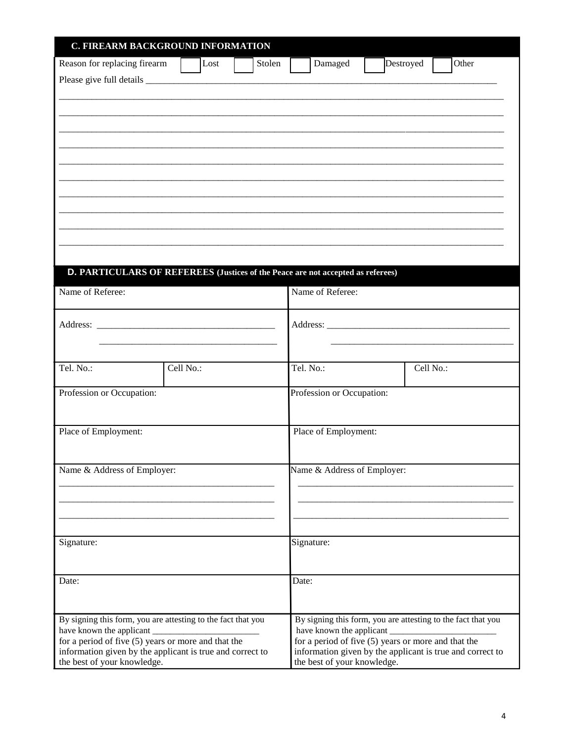| C. FIREARM BACKGROUND INFORMATION                                                                                                                 |           |                                                                                                                                                   |                             |           |                                                              |
|---------------------------------------------------------------------------------------------------------------------------------------------------|-----------|---------------------------------------------------------------------------------------------------------------------------------------------------|-----------------------------|-----------|--------------------------------------------------------------|
| Reason for replacing firearm                                                                                                                      | Lost      | Stolen                                                                                                                                            | Damaged                     | Destroyed | Other                                                        |
|                                                                                                                                                   |           |                                                                                                                                                   |                             |           |                                                              |
|                                                                                                                                                   |           |                                                                                                                                                   |                             |           |                                                              |
|                                                                                                                                                   |           |                                                                                                                                                   |                             |           |                                                              |
|                                                                                                                                                   |           |                                                                                                                                                   |                             |           |                                                              |
|                                                                                                                                                   |           |                                                                                                                                                   |                             |           |                                                              |
|                                                                                                                                                   |           |                                                                                                                                                   |                             |           |                                                              |
|                                                                                                                                                   |           |                                                                                                                                                   |                             |           |                                                              |
| D. PARTICULARS OF REFEREES (Justices of the Peace are not accepted as referees)                                                                   |           |                                                                                                                                                   |                             |           |                                                              |
| Name of Referee:                                                                                                                                  |           |                                                                                                                                                   | Name of Referee:            |           |                                                              |
|                                                                                                                                                   |           |                                                                                                                                                   |                             |           |                                                              |
|                                                                                                                                                   |           |                                                                                                                                                   |                             |           |                                                              |
|                                                                                                                                                   |           |                                                                                                                                                   |                             |           |                                                              |
| Tel. No.:                                                                                                                                         | Cell No.: |                                                                                                                                                   | Tel. No.:                   |           | Cell No.:                                                    |
| Profession or Occupation:                                                                                                                         |           |                                                                                                                                                   | Profession or Occupation:   |           |                                                              |
| Place of Employment:                                                                                                                              |           |                                                                                                                                                   | Place of Employment:        |           |                                                              |
|                                                                                                                                                   |           |                                                                                                                                                   | Name & Address of Employer: |           |                                                              |
| Name & Address of Employer:                                                                                                                       |           |                                                                                                                                                   |                             |           |                                                              |
|                                                                                                                                                   |           |                                                                                                                                                   |                             |           |                                                              |
|                                                                                                                                                   |           |                                                                                                                                                   |                             |           |                                                              |
| Signature:                                                                                                                                        |           |                                                                                                                                                   | Signature:                  |           |                                                              |
| Date:                                                                                                                                             |           |                                                                                                                                                   | Date:                       |           |                                                              |
|                                                                                                                                                   |           |                                                                                                                                                   |                             |           |                                                              |
| By signing this form, you are attesting to the fact that you<br>have known the applicant                                                          |           |                                                                                                                                                   | have known the applicant    |           | By signing this form, you are attesting to the fact that you |
| for a period of five $(5)$ years or more and that the<br>information given by the applicant is true and correct to<br>the best of your knowledge. |           | for a period of five $(5)$ years or more and that the<br>information given by the applicant is true and correct to<br>the best of your knowledge. |                             |           |                                                              |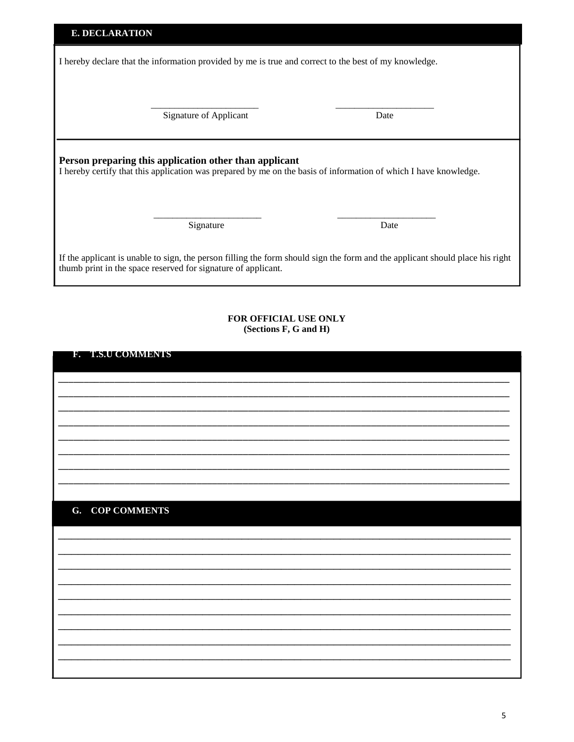| <b>E. DECLARATION</b>                                                                                                                                                                          |                        |      |  |  |  |
|------------------------------------------------------------------------------------------------------------------------------------------------------------------------------------------------|------------------------|------|--|--|--|
| I hereby declare that the information provided by me is true and correct to the best of my knowledge.                                                                                          |                        |      |  |  |  |
|                                                                                                                                                                                                |                        |      |  |  |  |
|                                                                                                                                                                                                | Signature of Applicant | Date |  |  |  |
| Person preparing this application other than applicant<br>I hereby certify that this application was prepared by me on the basis of information of which I have knowledge.                     |                        |      |  |  |  |
|                                                                                                                                                                                                | Signature              | Date |  |  |  |
| If the applicant is unable to sign, the person filling the form should sign the form and the applicant should place his right<br>thumb print in the space reserved for signature of applicant. |                        |      |  |  |  |

### FOR OFFICIAL USE ONLY (Sections F, G and H)

# **G. COP COMMENTS**

**B. A.S.U COMMISNIES**